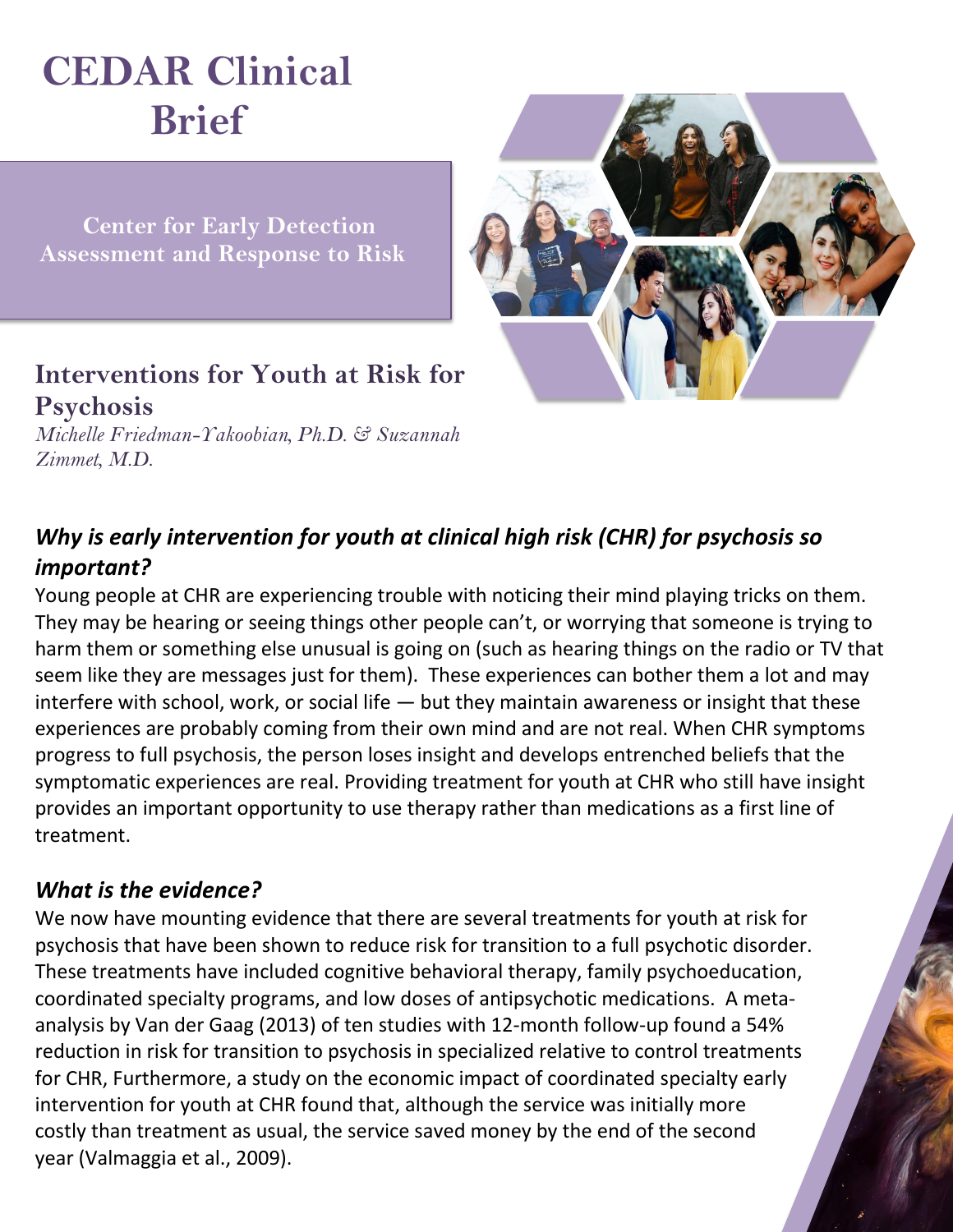# **CEDAR Clinical Brief**

 **Center for Early Detection Assessment and Response to Risk**



# **Interventions for Youth at Risk for Psychosis**

*Michelle Friedman-Yakoobian, Ph.D. & Suzannah Zimmet, M.D.*

## *Why is early intervention for youth at clinical high risk (CHR) for psychosis so important?*

Young people at CHR are experiencing trouble with noticing their mind playing tricks on them. They may be hearing or seeing things other people can't, or worrying that someone is trying to harm them or something else unusual is going on (such as hearing things on the radio or TV that seem like they are messages just for them). These experiences can bother them a lot and may interfere with school, work, or social life  $-$  but they maintain awareness or insight that these experiences are probably coming from their own mind and are not real. When CHR symptoms progress to full psychosis, the person loses insight and develops entrenched beliefs that the symptomatic experiences are real. Providing treatment for youth at CHR who still have insight provides an important opportunity to use therapy rather than medications as a first line of treatment.

#### *What is the evidence?*

We now have mounting evidence that there are several treatments for youth at risk for psychosis that have been shown to reduce risk for transition to a full psychotic disorder. These treatments have included cognitive behavioral therapy, family psychoeducation, coordinated specialty programs, and low doses of antipsychotic medications. A metaanalysis by Van der Gaag (2013) of ten studies with 12-month follow-up found a 54% reduction in risk for transition to psychosis in specialized relative to control treatments for CHR, Furthermore, a study on the economic impact of coordinated specialty early intervention for youth at CHR found that, although the service was initially more costly than treatment as usual, the service saved money by the end of the second year (Valmaggia et al., 2009).